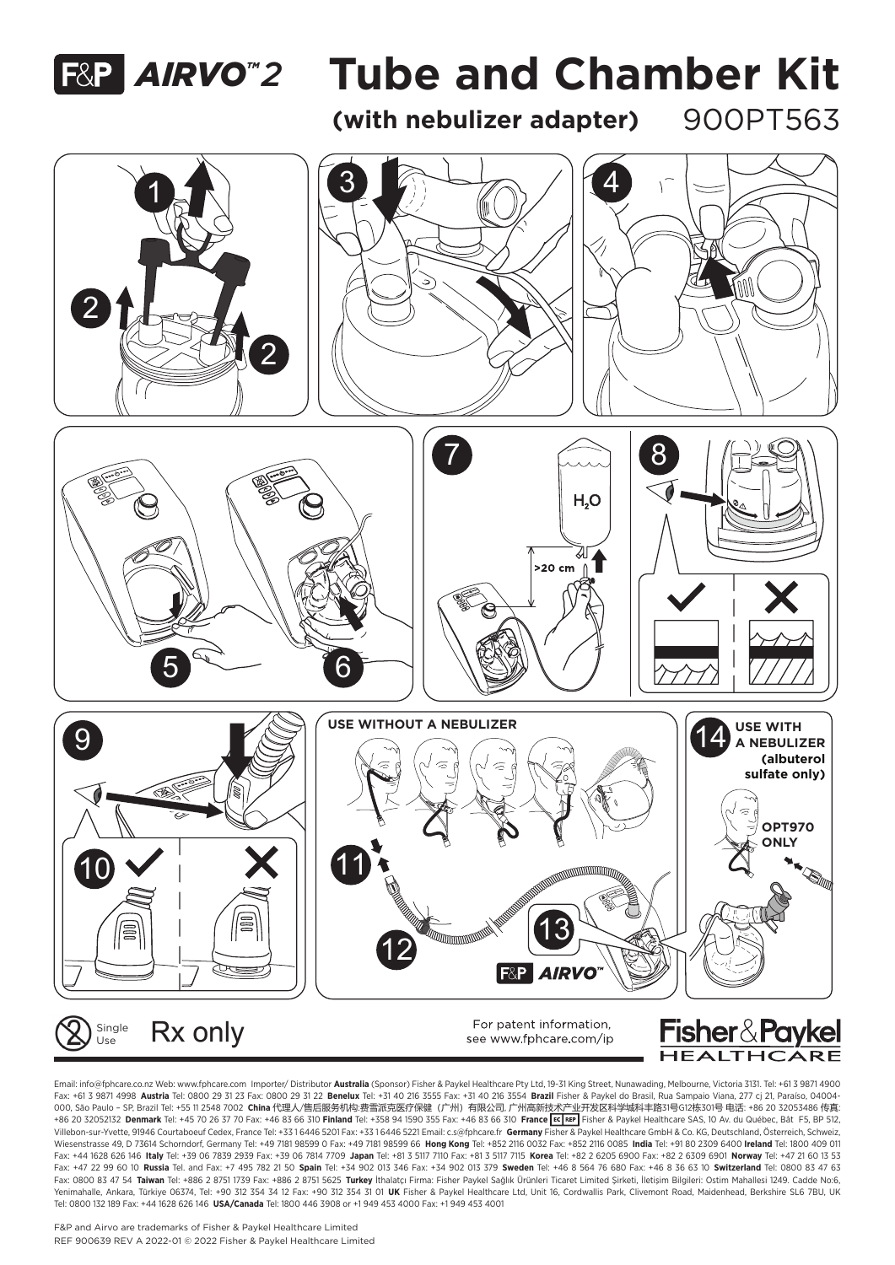

## **F&P AIRVO<sup>"</sup>2 Tube and Chamber Kit**

(with nebulizer adapter) 900PT563



Email: info@fphcare.co.nz Web: www.fphcare.com Importer/ Distributor **Australia** (Sponsor) Fisher & Paykel Healthcare Pty Ltd, 19-31 King Street, Nunawading, Melbourne, Victoria 3131. Tel: +61 3 9871 4900 Fax: +61 3 9871 4998  **Austria** Tel: 0800 29 31 23 Fax: 0800 29 31 22  **Benelux** Tel: +31 40 216 3555 Fax: +31 40 216 3554  **Brazil** Fisher & Paykel do Brasil, Rua Sampaio Viana, 277 cj 21, Paraíso, 04004- 000, São Paulo – SP, Brazil Tel: +55 11 2548 7002  **China** 代理人/售后服务机构:费雪派克医疗保健(广州)有限公司, 广州高新技术产业开发区科学城科丰路31号G12栋301号 电话: +86 20 32053486 传真: +86 20 32052132 **Denmark** Tel: +45 70 26 37 70 Fax: +46 83 66 310 **Finland** Tel: +358 94 1590 355 Fax: +46 83 66 310  **France** Fisher & Paykel Healthcare SAS, 10 Av. du Québec, Bât F5, BP 512, Villebon-sur-Yvette, 91946 Courtaboeuf Cedex, France Tel: +33 1 6446 5201 Fax: +33 1 6446 5221 Email: c.s@fphcare.fr  **Germany** Fisher & Paykel Healthcare GmbH & Co. KG, Deutschland, Österreich, Schweiz, Wiesenstrasse 49, D 73614 Schorndorf, Germany Tel: +49 7181 98599 0 Fax: +49 7181 98599 66  **Hong Kong** Tel: +852 2116 0032 Fax: +852 2116 0085  **India** Tel: +91 80 2309 6400 **Ireland** Tel: 1800 409 011 Fax: +44 1628 626 146 Italy Tel: +39 06 7839 2939 Fax: +39 06 7814 7709 Japan Tel: +81 3 5117 7110 Fax: +81 3 5117 7115 Korea Tel: +82 2 6205 6900 Fax: +82 2 6309 6901 Norway Tel: +47 21 60 13 53 Fax: +47 22 99 60 10 **Russia** Tel. and Fax: +7 495 782 21 50 **Spain** Tel: +34 902 013 346 Fax: +34 902 013 379  **Sweden** Tel: +46 8 564 76 680 Fax: +46 8 36 63 10  **Switzerland** Tel: 0800 83 47 63 Fax: 0800 83 47 54  **Taiwan** Tel: +886 2 8751 1739 Fax: +886 2 8751 5625 **Turkey** İthalatçı Firma: Fisher Paykel Sağlık Ürünleri Ticaret Limited Şirketi, İletişim Bilgileri: Ostim Mahallesi 1249. Cadde No:6, Yenimahalle, Ankara, Türkiye 06374, Tel: +90 312 354 34 12 Fax: +90 312 354 31 01 **UK** Fisher & Paykel Healthcare Ltd, Unit 16, Cordwallis Park, Clivemont Road, Maidenhead, Berkshire SL6 7BU, UK Tel: 0800 132 189 Fax: +44 1628 626 146 **USA/Canada** Tel: 1800 446 3908 or +1 949 453 4000 Fax: +1 949 453 4001

F&P and Airvo are trademarks of Fisher & Paykel Healthcare Limited REF 900639 REV A 2022-01 © 2022 Fisher & Paykel Healthcare Limited